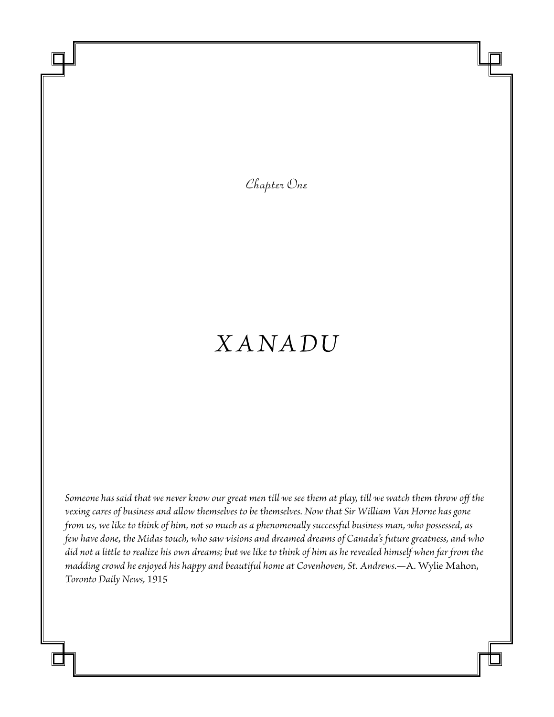*Chapter One*

## *Xanadu*

*Someone has said that we never know our great men till we see them at play, till we watch them throw off the vexing cares of business and allow themselves to be themselves. Now that Sir William Van Horne has gone from us, we like to think of him, not so much as a phenomenally successful business man, who possessed, as few have done, the Midas touch, who saw visions and dreamed dreams of Canada's future greatness, and who did not a little to realize his own dreams; but we like to think of him as he revealed himself when far from the madding crowd he enjoyed his happy and beautiful home at Covenhoven, St. Andrews.—*A. Wylie Mahon, *Toronto Daily News,* 1915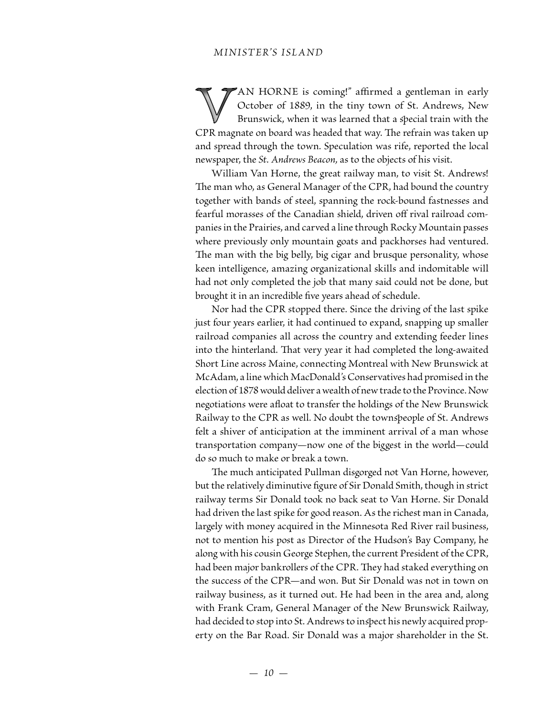AN HORNE is coming!" affirmed a gentleman in early October of 1889, in the tiny town of St. Andrews, New Brunswick, when it was learned that a special train with the CPR magnate on board was headed that way. The refrain was taken up and spread through the town. Speculation was rife, reported the local newspaper, the *St. Andrews Beacon,* as to the objects of his visit.

William Van Horne, the great railway man, to visit St. Andrews! The man who, as General Manager of the CPR, had bound the country together with bands of steel, spanning the rock-bound fastnesses and fearful morasses of the Canadian shield, driven off rival railroad companies in the Prairies, and carved a line through Rocky Mountain passes where previously only mountain goats and packhorses had ventured. The man with the big belly, big cigar and brusque personality, whose keen intelligence, amazing organizational skills and indomitable will had not only completed the job that many said could not be done, but brought it in an incredible five years ahead of schedule.

 Nor had the CPR stopped there. Since the driving of the last spike just four years earlier, it had continued to expand, snapping up smaller railroad companies all across the country and extending feeder lines into the hinterland. That very year it had completed the long-awaited Short Line across Maine, connecting Montreal with New Brunswick at McAdam, a line which MacDonald's Conservatives had promised in the election of 1878 would deliver a wealth of new trade to the Province. Now negotiations were afloat to transfer the holdings of the New Brunswick Railway to the CPR as well. No doubt the townspeople of St. Andrews felt a shiver of anticipation at the imminent arrival of a man whose transportation company—now one of the biggest in the world—could do so much to make or break a town.

The much anticipated Pullman disgorged not Van Horne, however, but the relatively diminutive figure of Sir Donald Smith, though in strict railway terms Sir Donald took no back seat to Van Horne. Sir Donald had driven the last spike for good reason. As the richest man in Canada, largely with money acquired in the Minnesota Red River rail business, not to mention his post as Director of the Hudson's Bay Company, he along with his cousin George Stephen, the current President of the CPR, had been major bankrollers of the CPR. They had staked everything on the success of the CPR—and won. But Sir Donald was not in town on railway business, as it turned out. He had been in the area and, along with Frank Cram, General Manager of the New Brunswick Railway, had decided to stop into St. Andrews to inspect his newly acquired property on the Bar Road. Sir Donald was a major shareholder in the St.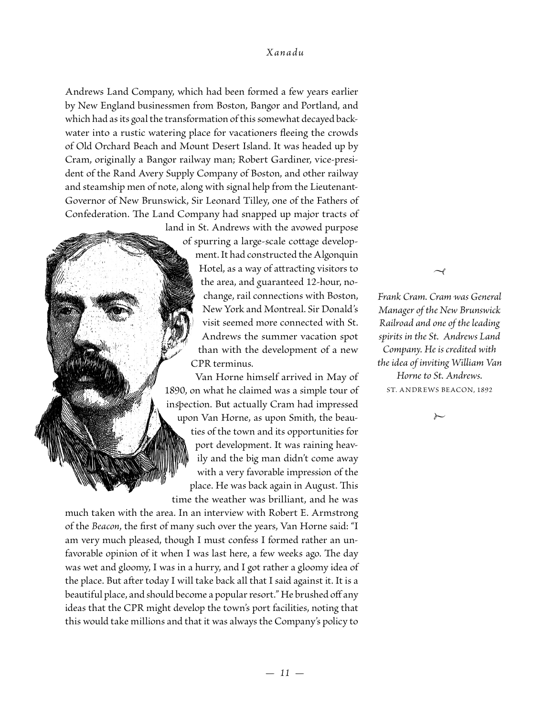## *Xanadu*

Andrews Land Company, which had been formed a few years earlier by New England businessmen from Boston, Bangor and Portland, and which had as its goal the transformation of this somewhat decayed backwater into a rustic watering place for vacationers fleeing the crowds of Old Orchard Beach and Mount Desert Island. It was headed up by Cram, originally a Bangor railway man; Robert Gardiner, vice-president of the Rand Avery Supply Company of Boston, and other railway and steamship men of note, along with signal help from the Lieutenant-Governor of New Brunswick, Sir Leonard Tilley, one of the Fathers of Confederation. The Land Company had snapped up major tracts of

> land in St. Andrews with the avowed purpose of spurring a large-scale cottage development. It had constructed the Algonquin Hotel, as a way of attracting visitors to the area, and guaranteed 12-hour, nochange, rail connections with Boston, New York and Montreal. Sir Donald's visit seemed more connected with St. Andrews the summer vacation spot than with the development of a new CPR terminus.

> Van Horne himself arrived in May of 1890, on what he claimed was a simple tour of inspection. But actually Cram had impressed upon Van Horne, as upon Smith, the beauties of the town and its opportunities for port development. It was raining heavily and the big man didn't come away with a very favorable impression of the place. He was back again in August. This time the weather was brilliant, and he was

much taken with the area. In an interview with Robert E. Armstrong of the *Beacon*, the first of many such over the years, Van Horne said: "I am very much pleased, though I must confess I formed rather an unfavorable opinion of it when I was last here, a few weeks ago. The day was wet and gloomy, I was in a hurry, and I got rather a gloomy idea of the place. But after today I will take back all that I said against it. It is a beautiful place, and should become a popular resort." He brushed off any ideas that the CPR might develop the town's port facilities, noting that this would take millions and that it was always the Company's policy to

*Frank Cram. Cram was General Manager of the New Brunswick Railroad and one of the leading spirits in the St. Andrews Land Company. He is credited with the idea of inviting William Van Horne to St. Andrews.* ST. ANDREWS BEACON, 1892

 $\rightarrow$ 

 $\overline{\ }$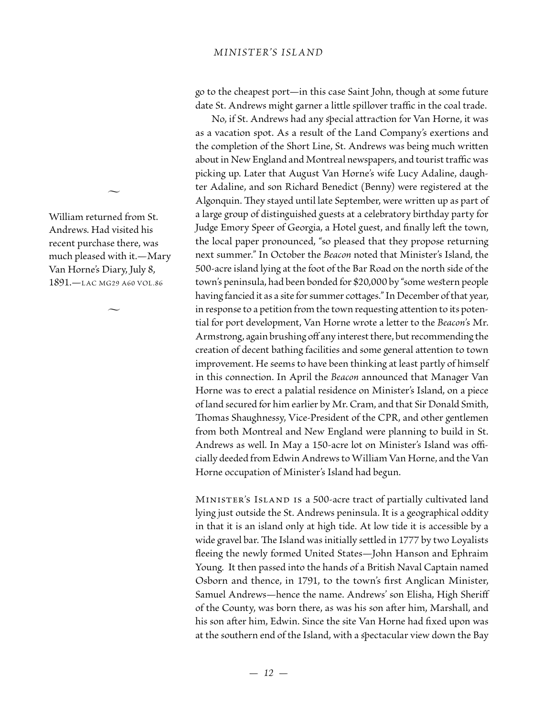## *MINISTER'S ISLAND*

go to the cheapest port—in this case Saint John, though at some future date St. Andrews might garner a little spillover traffic in the coal trade.

 No, if St. Andrews had any special attraction for Van Horne, it was as a vacation spot. As a result of the Land Company's exertions and the completion of the Short Line, St. Andrews was being much written about in New England and Montreal newspapers, and tourist traffic was picking up. Later that August Van Horne's wife Lucy Adaline, daughter Adaline, and son Richard Benedict (Benny) were registered at the Algonquin. They stayed until late September, were written up as part of a large group of distinguished guests at a celebratory birthday party for Judge Emory Speer of Georgia, a Hotel guest, and finally left the town, the local paper pronounced, "so pleased that they propose returning next summer." In October the *Beacon* noted that Minister's Island, the 500-acre island lying at the foot of the Bar Road on the north side of the town's peninsula, had been bonded for \$20,000 by "some western people having fancied it as a site for summer cottages." In December of that year, in response to a petition from the town requesting attention to its potential for port development, Van Horne wrote a letter to the *Beacon*'s Mr. Armstrong, again brushing off any interest there, but recommending the creation of decent bathing facilities and some general attention to town improvement. He seems to have been thinking at least partly of himself in this connection. In April the *Beacon* announced that Manager Van Horne was to erect a palatial residence on Minister's Island, on a piece of land secured for him earlier by Mr. Cram, and that Sir Donald Smith, Thomas Shaughnessy, Vice-President of the CPR, and other gentlemen from both Montreal and New England were planning to build in St. Andrews as well. In May a 150-acre lot on Minister's Island was officially deeded from Edwin Andrews to William Van Horne, and the Van Horne occupation of Minister's Island had begun.

Minister's Island is a 500-acre tract of partially cultivated land lying just outside the St. Andrews peninsula. It is a geographical oddity in that it is an island only at high tide. At low tide it is accessible by a wide gravel bar. The Island was initially settled in 1777 by two Loyalists fleeing the newly formed United States—John Hanson and Ephraim Young. It then passed into the hands of a British Naval Captain named Osborn and thence, in 1791, to the town's first Anglican Minister, Samuel Andrews—hence the name. Andrews' son Elisha, High Sheriff of the County, was born there, as was his son after him, Marshall, and his son after him, Edwin. Since the site Van Horne had fixed upon was at the southern end of the Island, with a spectacular view down the Bay

William returned from St. Andrews. Had visited his recent purchase there, was much pleased with it.—Mary Van Horne's Diary, July 8, 1891.—LAC MG29 A60 Vol.86

 $\sim$ 

 $\sim$